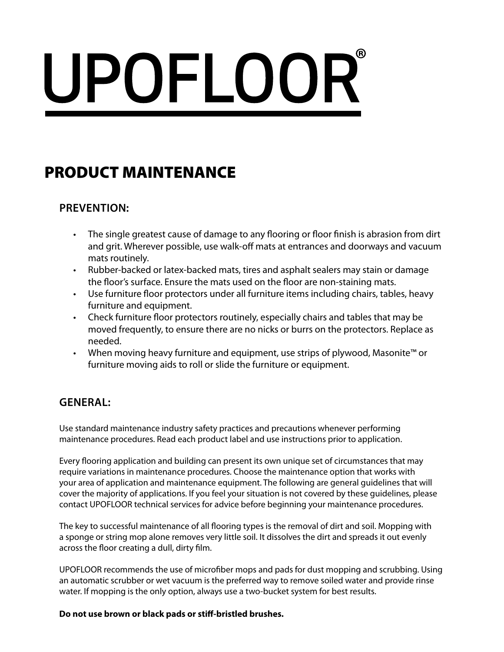# UPOFLOOR®

# PRODUCT MAINTENANCE

# **PREVENTION:**

- The single greatest cause of damage to any flooring or floor finish is abrasion from dirt and grit. Wherever possible, use walk-off mats at entrances and doorways and vacuum mats routinely.
- Rubber-backed or latex-backed mats, tires and asphalt sealers may stain or damage the floor's surface. Ensure the mats used on the floor are non-staining mats.
- Use furniture floor protectors under all furniture items including chairs, tables, heavy furniture and equipment.
- Check furniture floor protectors routinely, especially chairs and tables that may be moved frequently, to ensure there are no nicks or burrs on the protectors. Replace as needed.
- When moving heavy furniture and equipment, use strips of plywood, Masonite™ or furniture moving aids to roll or slide the furniture or equipment.

# **GENERAL:**

Use standard maintenance industry safety practices and precautions whenever performing maintenance procedures. Read each product label and use instructions prior to application.

Every flooring application and building can present its own unique set of circumstances that may require variations in maintenance procedures. Choose the maintenance option that works with your area of application and maintenance equipment. The following are general guidelines that will cover the majority of applications. If you feel your situation is not covered by these guidelines, please contact UPOFLOOR technical services for advice before beginning your maintenance procedures.

The key to successful maintenance of all flooring types is the removal of dirt and soil. Mopping with a sponge or string mop alone removes very little soil. It dissolves the dirt and spreads it out evenly across the floor creating a dull, dirty film.

UPOFLOOR recommends the use of microfiber mops and pads for dust mopping and scrubbing. Using an automatic scrubber or wet vacuum is the preferred way to remove soiled water and provide rinse water. If mopping is the only option, always use a two-bucket system for best results.

### **Do not use brown or black pads or stiff-bristled brushes.**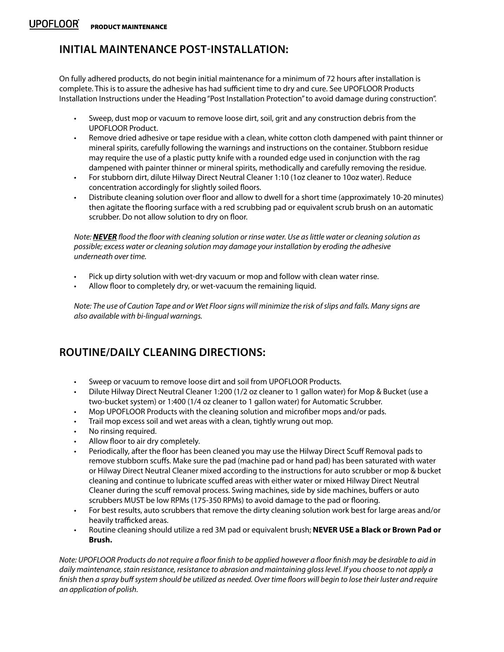# **INITIAL MAINTENANCE POST-INSTALLATION:**

On fully adhered products, do not begin initial maintenance for a minimum of 72 hours after installation is complete. This is to assure the adhesive has had sufficient time to dry and cure. See UPOFLOOR Products Installation Instructions under the Heading "Post Installation Protection" to avoid damage during construction".

- Sweep, dust mop or vacuum to remove loose dirt, soil, grit and any construction debris from the UPOFLOOR Product.
- Remove dried adhesive or tape residue with a clean, white cotton cloth dampened with paint thinner or mineral spirits, carefully following the warnings and instructions on the container. Stubborn residue may require the use of a plastic putty knife with a rounded edge used in conjunction with the rag dampened with painter thinner or mineral spirits, methodically and carefully removing the residue.
- For stubborn dirt, dilute Hilway Direct Neutral Cleaner 1:10 (1oz cleaner to 10oz water). Reduce concentration accordingly for slightly soiled floors.
- Distribute cleaning solution over floor and allow to dwell for a short time (approximately 10-20 minutes) then agitate the flooring surface with a red scrubbing pad or equivalent scrub brush on an automatic scrubber. Do not allow solution to dry on floor.

*Note: NEVER flood the floor with cleaning solution or rinse water. Use as little water or cleaning solution as possible; excess water or cleaning solution may damage your installation by eroding the adhesive underneath over time.*

- Pick up dirty solution with wet-dry vacuum or mop and follow with clean water rinse.
- Allow floor to completely dry, or wet-vacuum the remaining liquid.

*Note: The use of Caution Tape and or Wet Floor signs will minimize the risk of slips and falls. Many signs are also available with bi-lingual warnings.*

# **ROUTINE/DAILY CLEANING DIRECTIONS:**

- Sweep or vacuum to remove loose dirt and soil from UPOFLOOR Products.
- Dilute Hilway Direct Neutral Cleaner 1:200 (1/2 oz cleaner to 1 gallon water) for Mop & Bucket (use a two-bucket system) or 1:400 (1/4 oz cleaner to 1 gallon water) for Automatic Scrubber.
- Mop UPOFLOOR Products with the cleaning solution and microfiber mops and/or pads.
- Trail mop excess soil and wet areas with a clean, tightly wrung out mop.
- No rinsing required.
- Allow floor to air dry completely.
- Periodically, after the floor has been cleaned you may use the Hilway Direct Scuff Removal pads to remove stubborn scuffs. Make sure the pad (machine pad or hand pad) has been saturated with water or Hilway Direct Neutral Cleaner mixed according to the instructions for auto scrubber or mop & bucket cleaning and continue to lubricate scuffed areas with either water or mixed Hilway Direct Neutral Cleaner during the scuff removal process. Swing machines, side by side machines, buffers or auto scrubbers MUST be low RPMs (175-350 RPMs) to avoid damage to the pad or flooring.
- For best results, auto scrubbers that remove the dirty cleaning solution work best for large areas and/or heavily trafficked areas.
- Routine cleaning should utilize a red 3M pad or equivalent brush; **NEVER USE a Black or Brown Pad or Brush.**

*Note: UPOFLOOR Products do not require a floor finish to be applied however a floor finish may be desirable to aid in daily maintenance, stain resistance, resistance to abrasion and maintaining gloss level. If you choose to not apply a finish then a spray buff system should be utilized as needed. Over time floors will begin to lose their luster and require an application of polish.*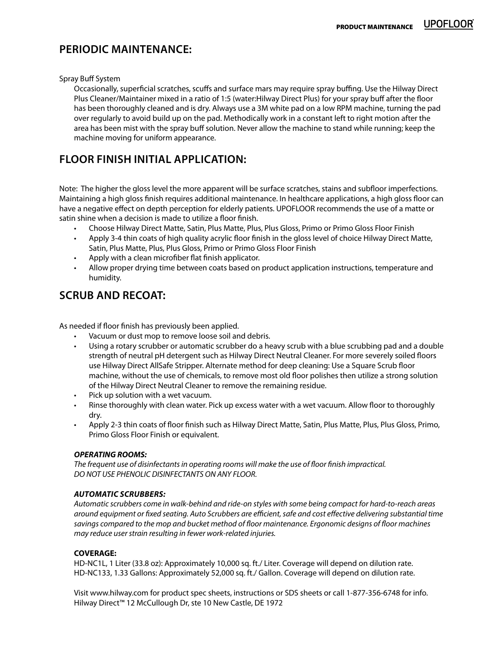# **UPOFLOOR**

## **PERIODIC MAINTENANCE:**

#### Spray Buff System

Occasionally, superficial scratches, scuffs and surface mars may require spray buffing. Use the Hilway Direct Plus Cleaner/Maintainer mixed in a ratio of 1:5 (water:Hilway Direct Plus) for your spray buff after the floor has been thoroughly cleaned and is dry. Always use a 3M white pad on a low RPM machine, turning the pad over regularly to avoid build up on the pad. Methodically work in a constant left to right motion after the area has been mist with the spray buff solution. Never allow the machine to stand while running; keep the machine moving for uniform appearance.

# **FLOOR FINISH INITIAL APPLICATION:**

Note: The higher the gloss level the more apparent will be surface scratches, stains and subfloor imperfections. Maintaining a high gloss finish requires additional maintenance. In healthcare applications, a high gloss floor can have a negative effect on depth perception for elderly patients. UPOFLOOR recommends the use of a matte or satin shine when a decision is made to utilize a floor finish.

- Choose Hilway Direct Matte, Satin, Plus Matte, Plus, Plus Gloss, Primo or Primo Gloss Floor Finish
- Apply 3-4 thin coats of high quality acrylic floor finish in the gloss level of choice Hilway Direct Matte, Satin, Plus Matte, Plus, Plus Gloss, Primo or Primo Gloss Floor Finish
- Apply with a clean microfiber flat finish applicator.
- Allow proper drying time between coats based on product application instructions, temperature and humidity.

# **SCRUB AND RECOAT:**

As needed if floor finish has previously been applied.

- Vacuum or dust mop to remove loose soil and debris.
- Using a rotary scrubber or automatic scrubber do a heavy scrub with a blue scrubbing pad and a double strength of neutral pH detergent such as Hilway Direct Neutral Cleaner. For more severely soiled floors use Hilway Direct AllSafe Stripper. Alternate method for deep cleaning: Use a Square Scrub floor machine, without the use of chemicals, to remove most old floor polishes then utilize a strong solution of the Hilway Direct Neutral Cleaner to remove the remaining residue.
- Pick up solution with a wet vacuum.
- Rinse thoroughly with clean water. Pick up excess water with a wet vacuum. Allow floor to thoroughly dry.
- Apply 2-3 thin coats of floor finish such as Hilway Direct Matte, Satin, Plus Matte, Plus, Plus Gloss, Primo, Primo Gloss Floor Finish or equivalent.

#### *OPERATING ROOMS:*

*The frequent use of disinfectants in operating rooms will make the use of floor finish impractical. DO NOT USE PHENOLIC DISINFECTANTS ON ANY FLOOR.*

#### *AUTOMATIC SCRUBBERS:*

*Automatic scrubbers come in walk-behind and ride-on styles with some being compact for hard-to-reach areas around equipment or fixed seating. Auto Scrubbers are efficient, safe and cost effective delivering substantial time savings compared to the mop and bucket method of floor maintenance. Ergonomic designs of floor machines may reduce user strain resulting in fewer work-related injuries.*

#### **COVERAGE:**

HD-NC1L, 1 Liter (33.8 oz): Approximately 10,000 sq. ft./ Liter. Coverage will depend on dilution rate. HD-NC133, 1.33 Gallons: Approximately 52,000 sq. ft./ Gallon. Coverage will depend on dilution rate.

Visit www.hilway.com for product spec sheets, instructions or SDS sheets or call 1-877-356-6748 for info. Hilway Direct™ 12 McCullough Dr, ste 10 New Castle, DE 1972